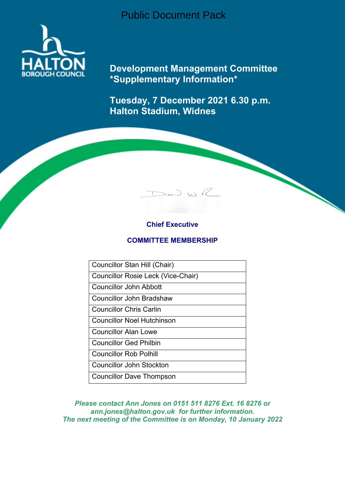Public Document Pack



**Development Management Committee \*Supplementary Information\***

**Tuesday, 7 December 2021 6.30 p.m. Halton Stadium, Widnes**

 $D$ av.) WR

# **Chief Executive**

# **COMMITTEE MEMBERSHIP**

Councillor Stan Hill (Chair)

Councillor Rosie Leck (Vice-Chair)

Councillor John Abbott

Councillor John Bradshaw

Councillor Chris Carlin

Councillor Noel Hutchinson

Councillor Alan Lowe

Councillor Ged Philbin

Councillor Rob Polhill

Councillor John Stockton

Councillor Dave Thompson

*Please contact Ann Jones on 0151 511 8276 Ext. 16 8276 or ann.jones@halton.gov.uk for further information. The next meeting of the Committee is on Monday, 10 January 2022*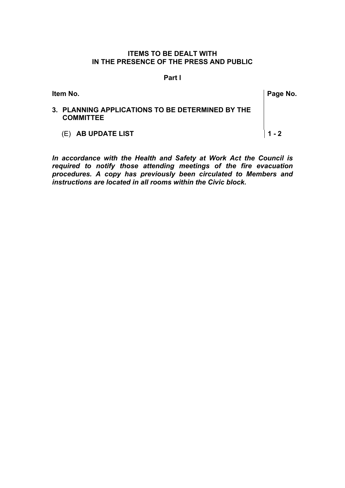# **ITEMS TO BE DEALT WITH IN THE PRESENCE OF THE PRESS AND PUBLIC**

### **Part l**

| ltem No. | Page No.                                                             |         |  |
|----------|----------------------------------------------------------------------|---------|--|
|          | 3. PLANNING APPLICATIONS TO BE DETERMINED BY THE<br><b>COMMITTEE</b> |         |  |
|          | (E) AB UPDATE LIST                                                   | $1 - 2$ |  |

*In accordance with the Health and Safety at Work Act the Council is required to notify those attending meetings of the fire evacuation procedures. A copy has previously been circulated to Members and instructions are located in all rooms within the Civic block.*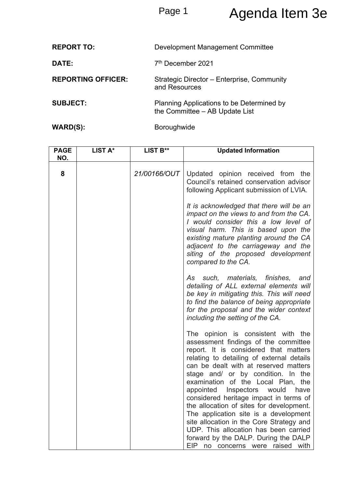# Page 1 Agenda Item 3e

| <b>REPORT TO:</b>         | Development Management Committee                                            |
|---------------------------|-----------------------------------------------------------------------------|
| DATE:                     | 7 <sup>th</sup> December 2021                                               |
| <b>REPORTING OFFICER:</b> | Strategic Director - Enterprise, Community<br>and Resources                 |
| <b>SUBJECT:</b>           | Planning Applications to be Determined by<br>the Committee - AB Update List |
| WARD(S):                  | <b>Boroughwide</b>                                                          |

| <b>PAGE</b><br>NO. | LIST A* | LIST B**     | <b>Updated Information</b>                                                                                                                                                                                                                                                                                                                                                                                                                                                                                                                                                                    |
|--------------------|---------|--------------|-----------------------------------------------------------------------------------------------------------------------------------------------------------------------------------------------------------------------------------------------------------------------------------------------------------------------------------------------------------------------------------------------------------------------------------------------------------------------------------------------------------------------------------------------------------------------------------------------|
| 8                  |         | 21/00166/OUT | Updated opinion received from the<br>Council's retained conservation advisor<br>following Applicant submission of LVIA.                                                                                                                                                                                                                                                                                                                                                                                                                                                                       |
|                    |         |              | It is acknowledged that there will be an<br>impact on the views to and from the CA.<br>I would consider this a low level of<br>visual harm. This is based upon the<br>existing mature planting around the CA<br>adjacent to the carriageway and the<br>siting of the proposed development<br>compared to the CA.                                                                                                                                                                                                                                                                              |
|                    |         |              | As such, materials, finishes,<br>and<br>detailing of ALL external elements will<br>be key in mitigating this. This will need<br>to find the balance of being appropriate<br>for the proposal and the wider context<br>including the setting of the CA.                                                                                                                                                                                                                                                                                                                                        |
|                    |         |              | The opinion is consistent with the<br>assessment findings of the committee<br>report. It is considered that matters<br>relating to detailing of external details<br>can be dealt with at reserved matters<br>stage and/ or by condition. In the<br>examination of the Local Plan, the<br>appointed<br>Inspectors<br>would<br>have<br>considered heritage impact in terms of<br>the allocation of sites for development.<br>The application site is a development<br>site allocation in the Core Strategy and<br>UDP. This allocation has been carried<br>forward by the DALP. During the DALP |
|                    |         |              | EIP<br>no concerns were raised<br>with                                                                                                                                                                                                                                                                                                                                                                                                                                                                                                                                                        |